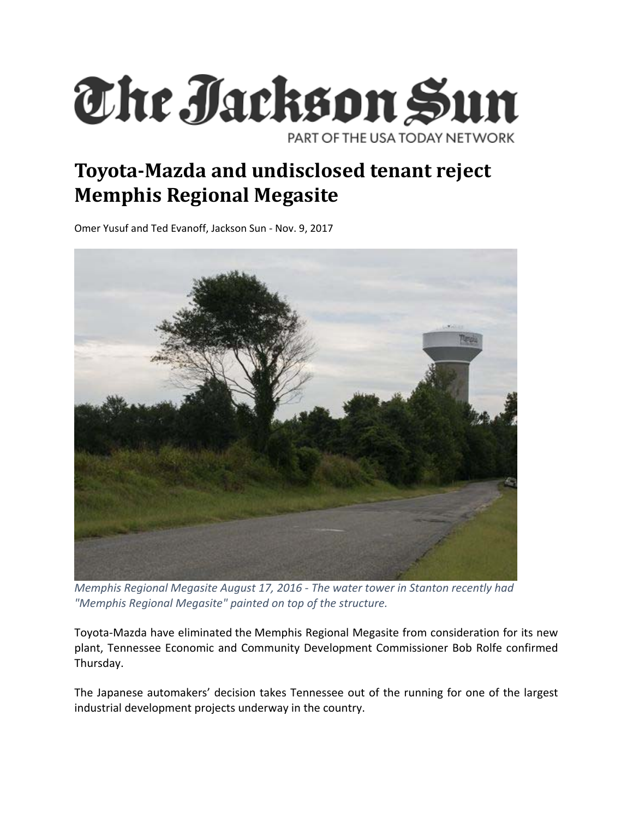

## **Toyota‐Mazda and undisclosed tenant reject Memphis Regional Megasite**

Omer Yusuf and Ted Evanoff, Jackson Sun ‐ Nov. 9, 2017



*Memphis Regional Megasite August 17, 2016 ‐ The water tower in Stanton recently had "Memphis Regional Megasite" painted on top of the structure.*

Toyota‐Mazda have eliminated the Memphis Regional Megasite from consideration for its new plant, Tennessee Economic and Community Development Commissioner Bob Rolfe confirmed Thursday.

The Japanese automakers' decision takes Tennessee out of the running for one of the largest industrial development projects underway in the country.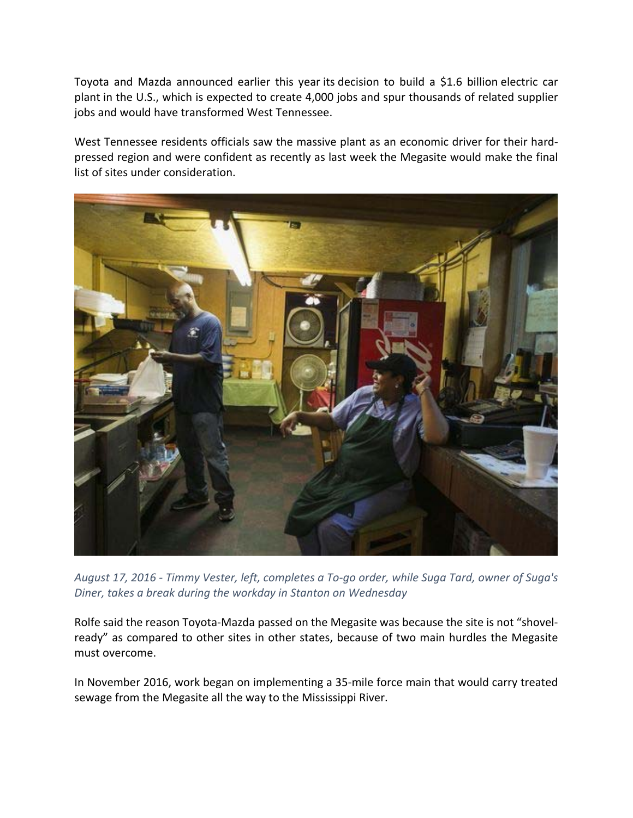Toyota and Mazda announced earlier this year its decision to build a \$1.6 billion electric car plant in the U.S., which is expected to create 4,000 jobs and spur thousands of related supplier jobs and would have transformed West Tennessee.

West Tennessee residents officials saw the massive plant as an economic driver for their hardpressed region and were confident as recently as last week the Megasite would make the final list of sites under consideration.



August 17, 2016 - Timmy Vester, left, completes a To-go order, while Suga Tard, owner of Suga's *Diner, takes a break during the workday in Stanton on Wednesday*

Rolfe said the reason Toyota‐Mazda passed on the Megasite was because the site is not "shovel‐ ready" as compared to other sites in other states, because of two main hurdles the Megasite must overcome.

In November 2016, work began on implementing a 35‐mile force main that would carry treated sewage from the Megasite all the way to the Mississippi River.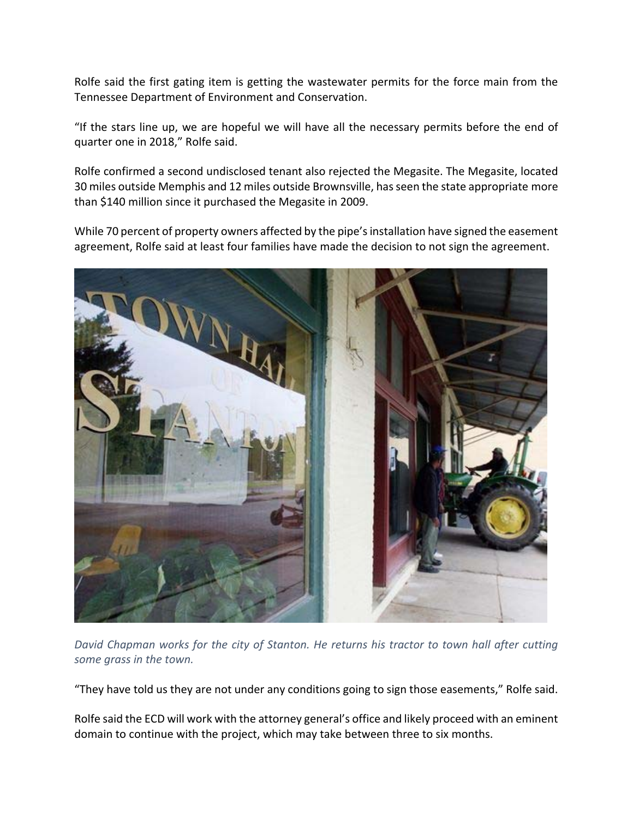Rolfe said the first gating item is getting the wastewater permits for the force main from the Tennessee Department of Environment and Conservation.

"If the stars line up, we are hopeful we will have all the necessary permits before the end of quarter one in 2018," Rolfe said.

Rolfe confirmed a second undisclosed tenant also rejected the Megasite. The Megasite, located 30 miles outside Memphis and 12 miles outside Brownsville, hasseen the state appropriate more than \$140 million since it purchased the Megasite in 2009.

While 70 percent of property owners affected by the pipe's installation have signed the easement agreement, Rolfe said at least four families have made the decision to not sign the agreement.



*David Chapman works for the city of Stanton. He returns his tractor to town hall after cutting some grass in the town.*

"They have told us they are not under any conditions going to sign those easements," Rolfe said.

Rolfe said the ECD will work with the attorney general's office and likely proceed with an eminent domain to continue with the project, which may take between three to six months.